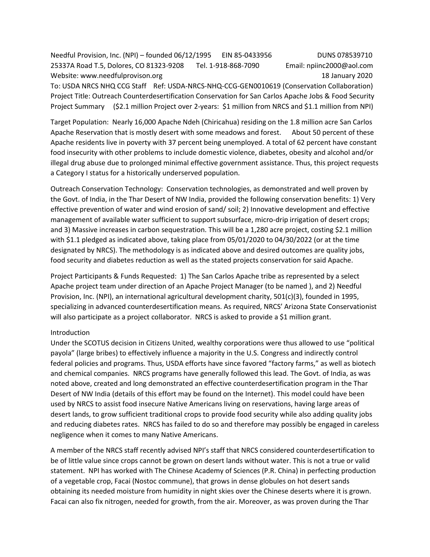Needful Provision, Inc. (NPI) – founded 06/12/1995 EIN 85-0433956 DUNS 078539710 25337A Road T.5, Dolores, CO 81323-9208 Tel. 1-918-868-7090 Email: npiinc2000@aol.com Website: www.needfulprovison.org 18 January 2020 To: USDA NRCS NHQ CCG Staff Ref: USDA-NRCS-NHQ-CCG-GEN0010619 (Conservation Collaboration) Project Title: Outreach Counterdesertification Conservation for San Carlos Apache Jobs & Food Security Project Summary (\$2.1 million Project over 2-years: \$1 million from NRCS and \$1.1 million from NPI)

Target Population: Nearly 16,000 Apache Ndeh (Chiricahua) residing on the 1.8 million acre San Carlos Apache Reservation that is mostly desert with some meadows and forest. About 50 percent of these Apache residents live in poverty with 37 percent being unemployed. A total of 62 percent have constant food insecurity with other problems to include domestic violence, diabetes, obesity and alcohol and/or illegal drug abuse due to prolonged minimal effective government assistance. Thus, this project requests a Category I status for a historically underserved population.

Outreach Conservation Technology: Conservation technologies, as demonstrated and well proven by the Govt. of India, in the Thar Desert of NW India, provided the following conservation benefits: 1) Very effective prevention of water and wind erosion of sand/ soil; 2) Innovative development and effective management of available water sufficient to support subsurface, micro-drip irrigation of desert crops; and 3) Massive increases in carbon sequestration. This will be a 1,280 acre project, costing \$2.1 million with \$1.1 pledged as indicated above, taking place from 05/01/2020 to 04/30/2022 (or at the time designated by NRCS). The methodology is as indicated above and desired outcomes are quality jobs, food security and diabetes reduction as well as the stated projects conservation for said Apache.

Project Participants & Funds Requested: 1) The San Carlos Apache tribe as represented by a select Apache project team under direction of an Apache Project Manager (to be named ), and 2) Needful Provision, Inc. (NPI), an international agricultural development charity, 501(c)(3), founded in 1995, specializing in advanced counterdesertification means. As required, NRCS' Arizona State Conservationist will also participate as a project collaborator. NRCS is asked to provide a \$1 million grant.

#### Introduction

Under the SCOTUS decision in Citizens United, wealthy corporations were thus allowed to use "political payola" (large bribes) to effectively influence a majority in the U.S. Congress and indirectly control federal policies and programs. Thus, USDA efforts have since favored "factory farms," as well as biotech and chemical companies. NRCS programs have generally followed this lead. The Govt. of India, as was noted above, created and long demonstrated an effective counterdesertification program in the Thar Desert of NW India (details of this effort may be found on the Internet). This model could have been used by NRCS to assist food insecure Native Americans living on reservations, having large areas of desert lands, to grow sufficient traditional crops to provide food security while also adding quality jobs and reducing diabetes rates. NRCS has failed to do so and therefore may possibly be engaged in careless negligence when it comes to many Native Americans.

A member of the NRCS staff recently advised NPI's staff that NRCS considered counterdesertification to be of little value since crops cannot be grown on desert lands without water. This is not a true or valid statement. NPI has worked with The Chinese Academy of Sciences (P.R. China) in perfecting production of a vegetable crop, Facai (Nostoc commune), that grows in dense globules on hot desert sands obtaining its needed moisture from humidity in night skies over the Chinese deserts where it is grown. Facai can also fix nitrogen, needed for growth, from the air. Moreover, as was proven during the Thar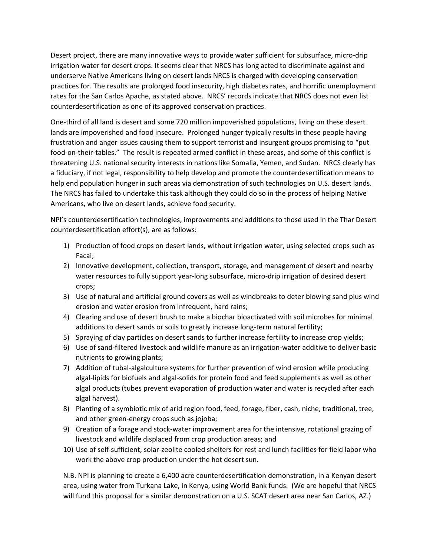Desert project, there are many innovative ways to provide water sufficient for subsurface, micro-drip irrigation water for desert crops. It seems clear that NRCS has long acted to discriminate against and underserve Native Americans living on desert lands NRCS is charged with developing conservation practices for. The results are prolonged food insecurity, high diabetes rates, and horrific unemployment rates for the San Carlos Apache, as stated above. NRCS' records indicate that NRCS does not even list counterdesertification as one of its approved conservation practices.

One-third of all land is desert and some 720 million impoverished populations, living on these desert lands are impoverished and food insecure. Prolonged hunger typically results in these people having frustration and anger issues causing them to support terrorist and insurgent groups promising to "put food-on-their-tables." The result is repeated armed conflict in these areas, and some of this conflict is threatening U.S. national security interests in nations like Somalia, Yemen, and Sudan. NRCS clearly has a fiduciary, if not legal, responsibility to help develop and promote the counterdesertification means to help end population hunger in such areas via demonstration of such technologies on U.S. desert lands. The NRCS has failed to undertake this task although they could do so in the process of helping Native Americans, who live on desert lands, achieve food security.

NPI's counterdesertification technologies, improvements and additions to those used in the Thar Desert counterdesertification effort(s), are as follows:

- 1) Production of food crops on desert lands, without irrigation water, using selected crops such as Facai;
- 2) Innovative development, collection, transport, storage, and management of desert and nearby water resources to fully support year-long subsurface, micro-drip irrigation of desired desert crops;
- 3) Use of natural and artificial ground covers as well as windbreaks to deter blowing sand plus wind erosion and water erosion from infrequent, hard rains;
- 4) Clearing and use of desert brush to make a biochar bioactivated with soil microbes for minimal additions to desert sands or soils to greatly increase long-term natural fertility;
- 5) Spraying of clay particles on desert sands to further increase fertility to increase crop yields;
- 6) Use of sand-filtered livestock and wildlife manure as an irrigation-water additive to deliver basic nutrients to growing plants;
- 7) Addition of tubal-algalculture systems for further prevention of wind erosion while producing algal-lipids for biofuels and algal-solids for protein food and feed supplements as well as other algal products (tubes prevent evaporation of production water and water is recycled after each algal harvest).
- 8) Planting of a symbiotic mix of arid region food, feed, forage, fiber, cash, niche, traditional, tree, and other green-energy crops such as jojoba;
- 9) Creation of a forage and stock-water improvement area for the intensive, rotational grazing of livestock and wildlife displaced from crop production areas; and
- 10) Use of self-sufficient, solar-zeolite cooled shelters for rest and lunch facilities for field labor who work the above crop production under the hot desert sun.

N.B. NPI is planning to create a 6,400 acre counterdesertification demonstration, in a Kenyan desert area, using water from Turkana Lake, in Kenya, using World Bank funds. (We are hopeful that NRCS will fund this proposal for a similar demonstration on a U.S. SCAT desert area near San Carlos, AZ.)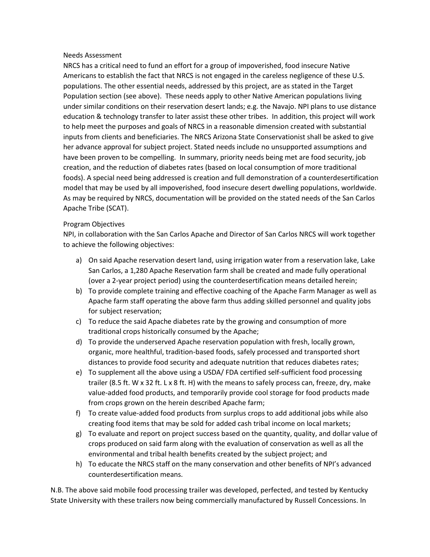## Needs Assessment

NRCS has a critical need to fund an effort for a group of impoverished, food insecure Native Americans to establish the fact that NRCS is not engaged in the careless negligence of these U.S. populations. The other essential needs, addressed by this project, are as stated in the Target Population section (see above). These needs apply to other Native American populations living under similar conditions on their reservation desert lands; e.g. the Navajo. NPI plans to use distance education & technology transfer to later assist these other tribes. In addition, this project will work to help meet the purposes and goals of NRCS in a reasonable dimension created with substantial inputs from clients and beneficiaries. The NRCS Arizona State Conservationist shall be asked to give her advance approval for subject project. Stated needs include no unsupported assumptions and have been proven to be compelling. In summary, priority needs being met are food security, job creation, and the reduction of diabetes rates (based on local consumption of more traditional foods). A special need being addressed is creation and full demonstration of a counterdesertification model that may be used by all impoverished, food insecure desert dwelling populations, worldwide. As may be required by NRCS, documentation will be provided on the stated needs of the San Carlos Apache Tribe (SCAT).

#### Program Objectives

NPI, in collaboration with the San Carlos Apache and Director of San Carlos NRCS will work together to achieve the following objectives:

- a) On said Apache reservation desert land, using irrigation water from a reservation lake, Lake San Carlos, a 1,280 Apache Reservation farm shall be created and made fully operational (over a 2-year project period) using the counterdesertification means detailed herein;
- b) To provide complete training and effective coaching of the Apache Farm Manager as well as Apache farm staff operating the above farm thus adding skilled personnel and quality jobs for subject reservation;
- c) To reduce the said Apache diabetes rate by the growing and consumption of more traditional crops historically consumed by the Apache;
- d) To provide the underserved Apache reservation population with fresh, locally grown, organic, more healthful, tradition-based foods, safely processed and transported short distances to provide food security and adequate nutrition that reduces diabetes rates;
- e) To supplement all the above using a USDA/ FDA certified self-sufficient food processing trailer (8.5 ft. W x 32 ft. L x 8 ft. H) with the means to safely process can, freeze, dry, make value-added food products, and temporarily provide cool storage for food products made from crops grown on the herein described Apache farm;
- f) To create value-added food products from surplus crops to add additional jobs while also creating food items that may be sold for added cash tribal income on local markets;
- g) To evaluate and report on project success based on the quantity, quality, and dollar value of crops produced on said farm along with the evaluation of conservation as well as all the environmental and tribal health benefits created by the subject project; and
- h) To educate the NRCS staff on the many conservation and other benefits of NPI's advanced counterdesertification means.

N.B. The above said mobile food processing trailer was developed, perfected, and tested by Kentucky State University with these trailers now being commercially manufactured by Russell Concessions. In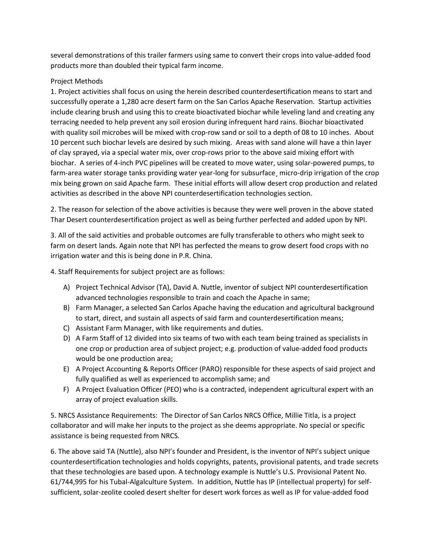several demonstrations of this trailer farmers using same to convert their crops into value-added food products more than doubled their typical farm income.

# Project Methods

1. Project activities shall focus on using the herein described counterdesertification means to start and successfully operate a 1,280 acre desert farm on the San Carlos Apache Reservation. Startup activities include clearing brush and using this to create bioactivated biochar while leveling land and creating any terracing needed to help prevent any soil erosion during infrequent hard rains. Biochar bioactivated with quality soil microbes will be mixed with crop-row sand or soil to a depth of 08 to 10 inches. About 10 percent such biochar levels are desired by such mixing. Areas with sand alone will have a thin layer of clay sprayed, via a special water mix, over crop-rows prior to the above said mixing effort with biochar. A series of 4-inch PVC pipelines will be created to move water, using solar-powered pumps, to farm-area water storage tanks providing water year-long for subsurface¸ micro-drip irrigation of the crop mix being grown on said Apache farm. These initial efforts will allow desert crop production and related activities as described in the above NPI counterdesertification technologies section.

2. The reason for selection of the above activities is because they were well proven in the above stated Thar Desert counterdesertification project as well as being further perfected and added upon by NPI.

3. All of the said activities and probable outcomes are fully transferable to others who might seek to farm on desert lands. Again note that NPI has perfected the means to grow desert food crops with no irrigation water and this is being done in P.R. China.

4. Staff Requirements for subject project are as follows:

- A) Project Technical Advisor (TA), David A. Nuttle, inventor of subject NPI counterdesertification advanced technologies responsible to train and coach the Apache in same;
- B) Farm Manager, a selected San Carlos Apache having the education and agricultural background to start, direct, and sustain all aspects of said farm and counterdesertification means;
- C) Assistant Farm Manager, with like requirements and duties.
- D) A Farm Staff of 12 divided into six teams of two with each team being trained as specialists in one crop or production area of subject project; e.g. production of value-added food products would be one production area;
- E) A Project Accounting & Reports Officer (PARO) responsible for these aspects of said project and fully qualified as well as experienced to accomplish same; and
- F) A Project Evaluation Officer (PEO) who is a contracted, independent agricultural expert with an array of project evaluation skills.

5. NRCS Assistance Requirements: The Director of San Carlos NRCS Office, Millie Titla, is a project collaborator and will make her inputs to the project as she deems appropriate. No special or specific assistance is being requested from NRCS.

6. The above said TA (Nuttle), also NPI's founder and President, is the inventor of NPI's subject unique counterdesertification technologies and holds copyrights, patents, provisional patents, and trade secrets that these technologies are based upon. A technology example is Nuttle's U.S. Provisional Patent No. 61/744,995 for his Tubal-Algalculture System. In addition, Nuttle has IP (intellectual property) for selfsufficient, solar-zeolite cooled desert shelter for desert work forces as well as IP for value-added food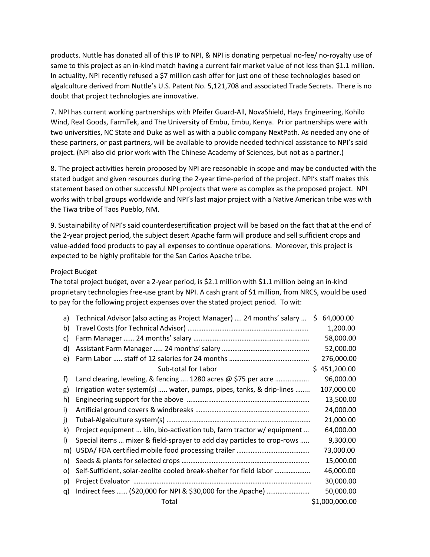products. Nuttle has donated all of this IP to NPI, & NPI is donating perpetual no-fee/ no-royalty use of same to this project as an in-kind match having a current fair market value of not less than \$1.1 million. In actuality, NPI recently refused a \$7 million cash offer for just one of these technologies based on algalculture derived from Nuttle's U.S. Patent No. 5,121,708 and associated Trade Secrets. There is no doubt that project technologies are innovative.

7. NPI has current working partnerships with Pfeifer Guard-All, NovaShield, Hays Engineering, Kohilo Wind, Real Goods, FarmTek, and The University of Embu, Embu, Kenya. Prior partnerships were with two universities, NC State and Duke as well as with a public company NextPath. As needed any one of these partners, or past partners, will be available to provide needed technical assistance to NPI's said project. (NPI also did prior work with The Chinese Academy of Sciences, but not as a partner.)

8. The project activities herein proposed by NPI are reasonable in scope and may be conducted with the stated budget and given resources during the 2-year time-period of the project. NPI's staff makes this statement based on other successful NPI projects that were as complex as the proposed project. NPI works with tribal groups worldwide and NPI's last major project with a Native American tribe was with the Tiwa tribe of Taos Pueblo, NM.

9. Sustainability of NPI's said counterdesertification project will be based on the fact that at the end of the 2-year project period, the subject desert Apache farm will produce and sell sufficient crops and value-added food products to pay all expenses to continue operations. Moreover, this project is expected to be highly profitable for the San Carlos Apache tribe.

## Project Budget

The total project budget, over a 2-year period, is \$2.1 million with \$1.1 million being an in-kind proprietary technologies free-use grant by NPI. A cash grant of \$1 million, from NRCS, would be used to pay for the following project expenses over the stated project period. To wit:

| a)           | Technical Advisor (also acting as Project Manager)  24 months' salary   | S. | 64,000.00      |
|--------------|-------------------------------------------------------------------------|----|----------------|
| b)           |                                                                         |    | 1,200.00       |
| C)           |                                                                         |    | 58,000.00      |
| d)           |                                                                         |    | 52,000.00      |
| e)           |                                                                         |    | 276,000.00     |
|              | Sub-total for Labor                                                     |    | \$451,200.00   |
| f)           | Land clearing, leveling, & fencing  1280 acres @ \$75 per acre          |    | 96,000.00      |
| g)           | Irrigation water system(s)  water, pumps, pipes, tanks, & drip-lines    |    | 107,000.00     |
| h)           |                                                                         |    | 13,500.00      |
| i)           |                                                                         |    | 24,000.00      |
| j)           |                                                                         |    | 21,000.00      |
| k)           | Project equipment  kiln, bio-activation tub, farm tractor w/ equipment  |    | 64,000.00      |
| $\mathbf{I}$ | Special items  mixer & field-sprayer to add clay particles to crop-rows |    | 9,300.00       |
| m)           |                                                                         |    | 73,000.00      |
| n)           |                                                                         |    | 15,000.00      |
| $\circ)$     | Self-Sufficient, solar-zeolite cooled break-shelter for field labor     |    | 46,000.00      |
| p)           |                                                                         |    | 30,000.00      |
| q)           |                                                                         |    | 50,000.00      |
|              | Total                                                                   |    | \$1,000,000.00 |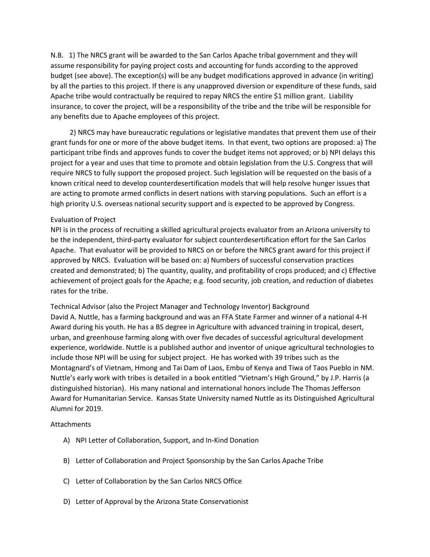N.B. 1) The NRCS grant will be awarded to the San Carlos Apache tribal government and they will assume responsibility for paying project costs and accounting for funds according to the approved budget (see above). The exception(s) will be any budget modifications approved in advance (in writing) by all the parties to this project. If there is any unapproved diversion or expenditure of these funds, said Apache tribe would contractually be required to repay NRCS the entire \$1 million grant. Liability insurance, to cover the project, will be a responsibility of the tribe and the tribe will be responsible for any benefits due to Apache employees of this project.

 2) NRCS may have bureaucratic regulations or legislative mandates that prevent them use of their grant funds for one or more of the above budget items. In that event, two options are proposed: a) The participant tribe finds and approves funds to cover the budget items not approved; or b) NPI delays this project for a year and uses that time to promote and obtain legislation from the U.S. Congress that will require NRCS to fully support the proposed project. Such legislation will be requested on the basis of a known critical need to develop counterdesertification models that will help resolve hunger issues that are acting to promote armed conflicts in desert nations with starving populations. Such an effort is a high priority U.S. overseas national security support and is expected to be approved by Congress.

#### Evaluation of Project

NPI is in the process of recruiting a skilled agricultural projects evaluator from an Arizona university to be the independent, third-party evaluator for subject counterdesertification effort for the San Carlos Apache. That evaluator will be provided to NRCS on or before the NRCS grant award for this project if approved by NRCS. Evaluation will be based on: a) Numbers of successful conservation practices created and demonstrated; b) The quantity, quality, and profitability of crops produced; and c) Effective achievement of project goals for the Apache; e.g. food security, job creation, and reduction of diabetes rates for the tribe.

Technical Advisor (also the Project Manager and Technology Inventor) Background David A. Nuttle, has a farming background and was an FFA State Farmer and winner of a national 4-H Award during his youth. He has a BS degree in Agriculture with advanced training in tropical, desert, urban, and greenhouse farming along with over five decades of successful agricultural development experience, worldwide. Nuttle is a published author and inventor of unique agricultural technologies to include those NPI will be using for subject project. He has worked with 39 tribes such as the Montagnard's of Vietnam, Hmong and Tai Dam of Laos, Embu of Kenya and Tiwa of Taos Pueblo in NM. Nuttle's early work with tribes is detailed in a book entitled "Vietnam's High Ground," by J.P. Harris (a distinguished historian). His many national and international honors include The Thomas Jefferson Award for Humanitarian Service. Kansas State University named Nuttle as its Distinguished Agricultural Alumni for 2019.

#### Attachments

- A) NPI Letter of Collaboration, Support, and In-Kind Donation
- B) Letter of Collaboration and Project Sponsorship by the San Carlos Apache Tribe
- C) Letter of Collaboration by the San Carlos NRCS Office
- D) Letter of Approval by the Arizona State Conservationist